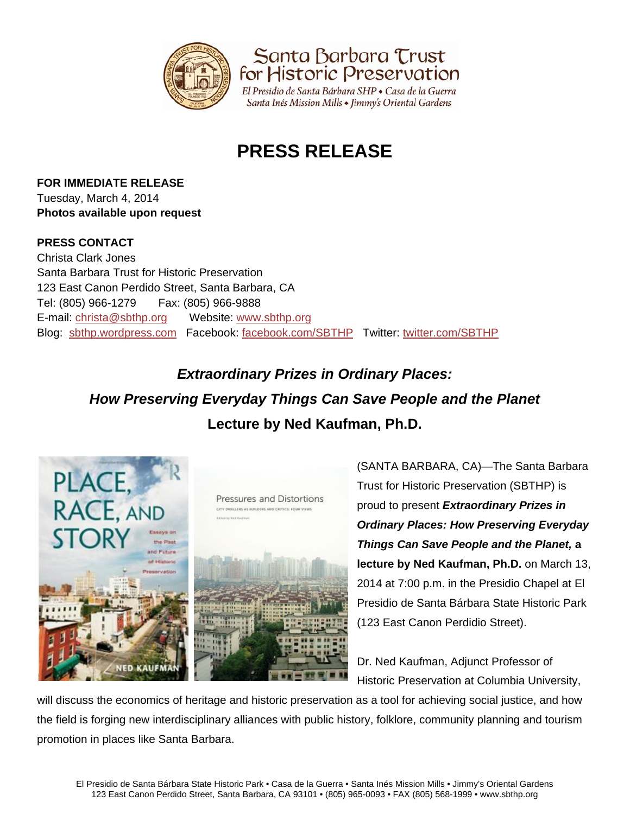

Santa Barbara Trust<br>for Historic Preservation

El Presidio de Santa Bárbara SHP · Casa de la Guerra Santa Inés Mission Mills • Jimmy's Oriental Gardens

## **PRESS RELEASE**

**FOR IMMEDIATE RELEASE** Tuesday, March 4, 2014 **Photos available upon request** 

## **PRESS CONTACT**

Christa Clark Jones Santa Barbara Trust for Historic Preservation 123 East Canon Perdido Street, Santa Barbara, CA Tel: (805) 966-1279 Fax: (805) 966-9888 E-mail: christa@sbthp.org Website: www.sbthp.org Blog: sbthp.wordpress.com Facebook: facebook.com/SBTHP Twitter: twitter.com/SBTHP

## *Extraordinary Prizes in Ordinary Places: How Preserving Everyday Things Can Save People and the Planet*  **Lecture by Ned Kaufman, Ph.D.**



(SANTA BARBARA, CA)—The Santa Barbara Trust for Historic Preservation (SBTHP) is proud to present *Extraordinary Prizes in Ordinary Places: How Preserving Everyday Things Can Save People and the Planet,* **a lecture by Ned Kaufman, Ph.D.** on March 13, 2014 at 7:00 p.m. in the Presidio Chapel at El Presidio de Santa Bárbara State Historic Park (123 East Canon Perdidio Street).

Dr. Ned Kaufman, Adjunct Professor of Historic Preservation at Columbia University,

will discuss the economics of heritage and historic preservation as a tool for achieving social justice, and how the field is forging new interdisciplinary alliances with public history, folklore, community planning and tourism promotion in places like Santa Barbara.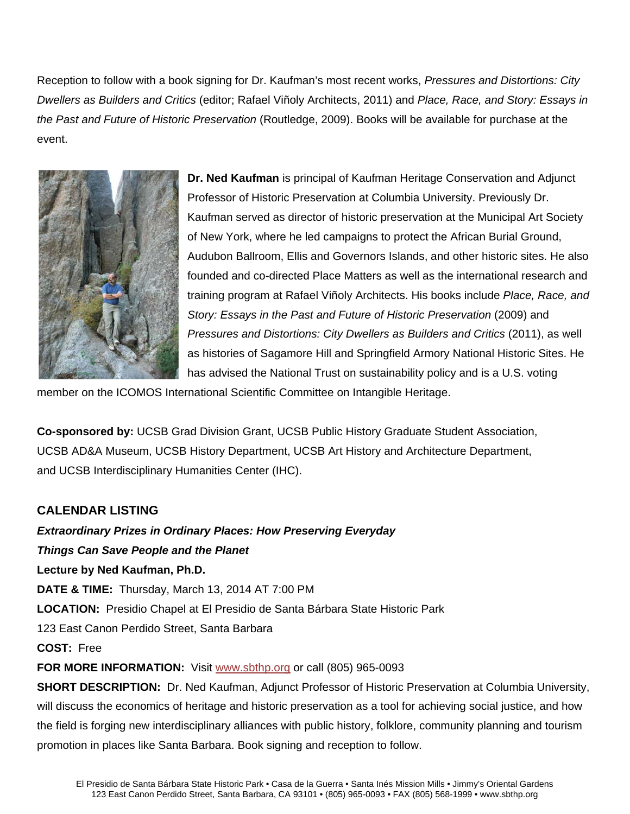Reception to follow with a book signing for Dr. Kaufman's most recent works, *Pressures and Distortions: City Dwellers as Builders and Critics* (editor; Rafael Viñoly Architects, 2011) and *Place, Race, and Story: Essays in the Past and Future of Historic Preservation* (Routledge, 2009). Books will be available for purchase at the event.



**Dr. Ned Kaufman** is principal of Kaufman Heritage Conservation and Adjunct Professor of Historic Preservation at Columbia University. Previously Dr. Kaufman served as director of historic preservation at the Municipal Art Society of New York, where he led campaigns to protect the African Burial Ground, Audubon Ballroom, Ellis and Governors Islands, and other historic sites. He also founded and co-directed Place Matters as well as the international research and training program at Rafael Viñoly Architects. His books include *Place, Race, and Story: Essays in the Past and Future of Historic Preservation (2009) and Pressures and Distortions: City Dwellers as Builders and Critics* (2011), as well as histories of Sagamore Hill and Springfield Armory National Historic Sites. He has advised the National Trust on sustainability policy and is a U.S. voting

member on the ICOMOS International Scientific Committee on Intangible Heritage.

**Co-sponsored by:** UCSB Grad Division Grant, UCSB Public History Graduate Student Association, UCSB AD&A Museum, UCSB History Department, UCSB Art History and Architecture Department, and UCSB Interdisciplinary Humanities Center (IHC).

## **CALENDAR LISTING**

*Extraordinary Prizes in Ordinary Places: How Preserving Everyday Things Can Save People and the Planet*  **Lecture by Ned Kaufman, Ph.D. DATE & TIME:** Thursday, March 13, 2014 AT 7:00 PM **LOCATION:** Presidio Chapel at El Presidio de Santa Bárbara State Historic Park 123 East Canon Perdido Street, Santa Barbara **COST:** Free **FOR MORE INFORMATION:** Visit www.sbthp.org or call (805) 965-0093 **SHORT DESCRIPTION:** Dr. Ned Kaufman, Adjunct Professor of Historic Preservation at Columbia University, will discuss the economics of heritage and historic preservation as a tool for achieving social justice, and how the field is forging new interdisciplinary alliances with public history, folklore, community planning and tourism

promotion in places like Santa Barbara. Book signing and reception to follow.